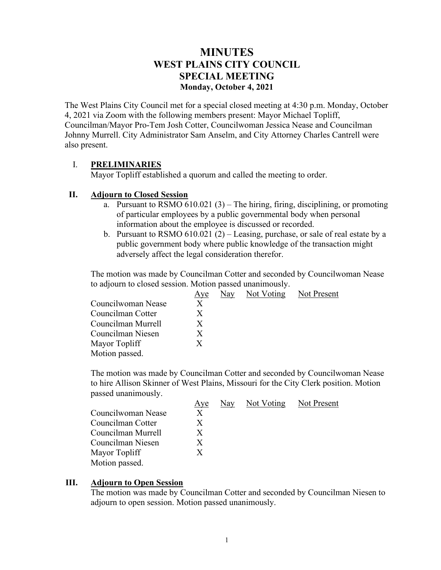# **MINUTES WEST PLAINS CITY COUNCIL SPECIAL MEETING Monday, October 4, 2021**

The West Plains City Council met for a special closed meeting at 4:30 p.m. Monday, October 4, 2021 via Zoom with the following members present: Mayor Michael Topliff, Councilman/Mayor Pro-Tem Josh Cotter, Councilwoman Jessica Nease and Councilman Johnny Murrell. City Administrator Sam Anselm, and City Attorney Charles Cantrell were also present.

## I. **PRELIMINARIES**

Mayor Topliff established a quorum and called the meeting to order.

#### **II. Adjourn to Closed Session**

- a. Pursuant to RSMO  $610.021$  (3) The hiring, firing, disciplining, or promoting of particular employees by a public governmental body when personal information about the employee is discussed or recorded.
- b. Pursuant to RSMO 610.021 (2) Leasing, purchase, or sale of real estate by a public government body where public knowledge of the transaction might adversely affect the legal consideration therefor.

The motion was made by Councilman Cotter and seconded by Councilwoman Nease to adjourn to closed session. Motion passed unanimously.

| Aye |  |                            |
|-----|--|----------------------------|
| X   |  |                            |
| X   |  |                            |
| X   |  |                            |
| X   |  |                            |
| X   |  |                            |
|     |  |                            |
|     |  | Nay Not Voting Not Present |

The motion was made by Councilman Cotter and seconded by Councilwoman Nease to hire Allison Skinner of West Plains, Missouri for the City Clerk position. Motion passed unanimously.

|                    | Aye | Nay Not Voting Not Present |  |
|--------------------|-----|----------------------------|--|
| Councilwoman Nease | X   |                            |  |
| Councilman Cotter  | X   |                            |  |
| Councilman Murrell |     |                            |  |
| Councilman Niesen  | X   |                            |  |
| Mayor Topliff      | X   |                            |  |
| Motion passed.     |     |                            |  |

#### **III. Adjourn to Open Session**

The motion was made by Councilman Cotter and seconded by Councilman Niesen to adjourn to open session. Motion passed unanimously.